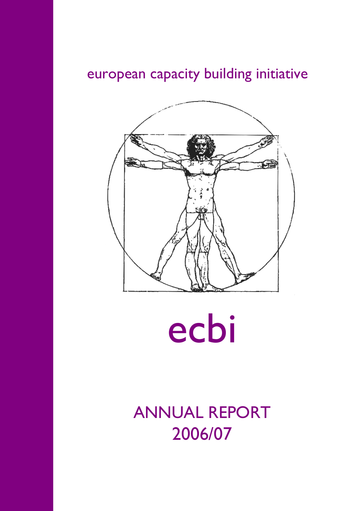# european capacity building initiative



ecbi

ANNUAL REPORT 2006/07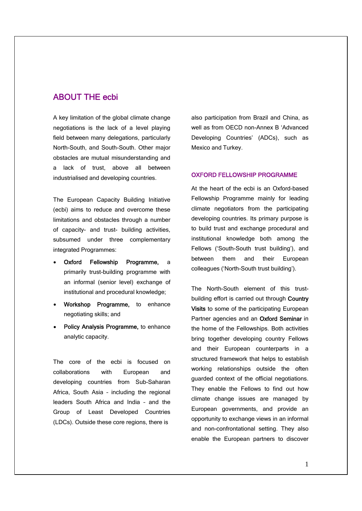# ABOUT THE ecbi

A key limitation of the global climate change negotiations is the lack of a level playing field between many delegations, particularly North-South, and South-South. Other major obstacles are mutual misunderstanding and a lack of trust, above all between industrialised and developing countries.

The European Capacity Building Initiative (ecbi) aims to reduce and overcome these limitations and obstacles through a number of capacity- and trust- building activities, subsumed under three complementary integrated Programmes:

- Oxford Fellowship Programme, a primarily trust-building programme with an informal (senior level) exchange of institutional and procedural knowledge;
- Workshop Programme, to enhance negotiating skills; and
- **Policy Analysis Programme, to enhance** analytic capacity.

The core of the ecbi is focused on collaborations with European and developing countries from Sub-Saharan Africa, South Asia – including the regional leaders South Africa and India – and the Group of Least Developed Countries (LDCs). Outside these core regions, there is

also participation from Brazil and China, as well as from OECD non-Annex B 'Advanced Developing Countries' (ADCs), such as Mexico and Turkey.

### OXFORD FELLOWSHIP PROGRAMME

At the heart of the ecbi is an Oxford-based Fellowship Programme mainly for leading climate negotiators from the participating developing countries. Its primary purpose is to build trust and exchange procedural and institutional knowledge both among the Fellows ('South-South trust building'), and between them and their European colleagues ('North-South trust building').

The North-South element of this trustbuilding effort is carried out through Country Visits to some of the participating European Partner agencies and an Oxford Seminar in the home of the Fellowships. Both activities bring together developing country Fellows and their European counterparts in a structured framework that helps to establish working relationships outside the often guarded context of the official negotiations. They enable the Fellows to find out how climate change issues are managed by European governments, and provide an opportunity to exchange views in an informal and non-confrontational setting. They also enable the European partners to discover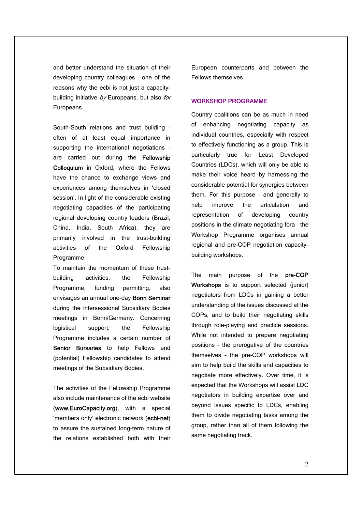and better understand the situation of their developing country colleagues – one of the reasons why the ecbi is not just a capacitybuilding initiative  $by$  Europeans, but also for Europeans.

South-South relations and trust building – often of at least equal importance in supporting the international negotiations – are carried out during the Fellowship Colloquium in Oxford, where the Fellows have the chance to exchange views and experiences among themselves in 'closed session'. In light of the considerable existing negotiating capacities of the participating regional developing country leaders (Brazil, China, India, South Africa), they are primarily involved in the trust-building activities of the Oxford Fellowship Programme.

To maintain the momentum of these trustbuilding activities, the Fellowship Programme, funding permitting, also envisages an annual one-day Bonn Seminar during the intersessional Subsidiary Bodies meetings in Bonn/Germany. Concerning logistical support, the Fellowship Programme includes a certain number of Senior Bursaries to help Fellows and (potential) Fellowship candidates to attend meetings of the Subsidiary Bodies.

The activities of the Fellowship Programme also include maintenance of the ecbi website (www.EuroCapacity.org), with a special 'members only' electronic network (ecbi-net) to assure the sustained long-term nature of the relations established both with their

European counterparts and between the Fellows themselves.

# WORKSHOP PROGRAMME

Country coalitions can be as much in need of enhancing negotiating capacity as individual countries, especially with respect to effectively functioning as a group. This is particularly true for Least Developed Countries (LDCs), which will only be able to make their voice heard by harnessing the considerable potential for synergies between them. For this purpose – and generally to help improve the articulation and representation of developing country positions in the climate negotiating fora – the Workshop Programme organises annual regional and pre-COP negotiation capacitybuilding workshops.

The main purpose of the pre-COP Workshops is to support selected (junior) negotiators from LDCs in gaining a better understanding of the issues discussed at the COPs, and to build their negotiating skills through role-playing and practice sessions. While not intended to prepare negotiating positions – the prerogative of the countries themselves – the pre-COP workshops will aim to help build the skills and capacities to negotiate more effectively. Over time, it is expected that the Workshops will assist LDC negotiators in building expertise over and beyond issues specific to LDCs, enabling them to divide negotiating tasks among the group, rather than all of them following the same negotiating track.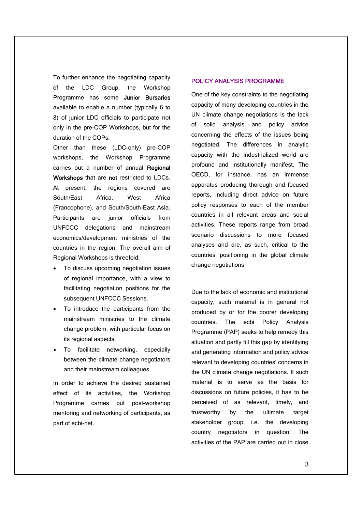To further enhance the negotiating capacity of the LDC Group, the Workshop Programme has some Junior Bursaries available to enable a number (typically 6 to 8) of junior LDC officials to participate not only in the pre-COP Workshops, but for the duration of the COPs.

Other than these (LDC-only) pre-COP workshops, the Workshop Programme carries out a number of annual Regional Workshops that are not restricted to LDCs. At present, the regions covered are South/East Africa, West Africa (Francophone), and South/South-East Asia. Participants are junior officials from UNFCCC delegations and mainstream economics/development ministries of the countries in the region. The overall aim of Regional Workshops is threefold:

- To discuss upcoming negotiation issues of regional importance, with a view to facilitating negotiation positions for the subsequent UNFCCC Sessions.
- To introduce the participants from the mainstream ministries to the climate change problem, with particular focus on its regional aspects.
- To facilitate networking, especially between the climate change negotiators and their mainstream colleagues.

In order to achieve the desired sustained effect of its activities, the Workshop Programme carries out post-workshop mentoring and networking of participants, as part of ecbi-net.

# POLICY ANALYSIS PROGRAMME

One of the key constraints to the negotiating capacity of many developing countries in the UN climate change negotiations is the lack of solid analysis and policy advice concerning the effects of the issues being negotiated. The differences in analytic capacity with the industrialized world are profound and institutionally manifest. The OECD, for instance, has an immense apparatus producing thorough and focused reports, including direct advice on future policy responses to each of the member countries in all relevant areas and social activities. These reports range from broad scenario discussions to more focused analyses and are, as such, critical to the countries' positioning in the global climate change negotiations.

Due to the lack of economic and institutional capacity, such material is in general not produced by or for the poorer developing countries. The ecbi Policy Analysis Programme (PAP) seeks to help remedy this situation and partly fill this gap by identifying and generating information and policy advice relevant to developing countries' concerns in the UN climate change negotiations. If such material is to serve as the basis for discussions on future policies, it has to be perceived of as relevant, timely, and trustworthy by the ultimate target stakeholder group, i.e. the developing country negotiators in question. The activities of the PAP are carried out in close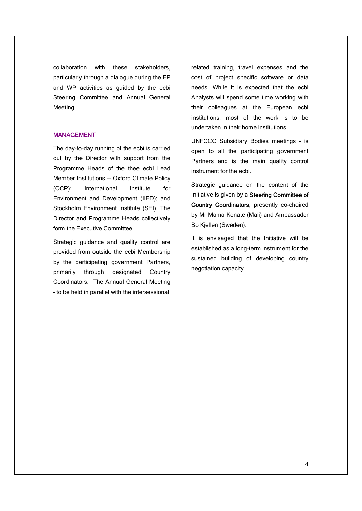collaboration with these stakeholders, particularly through a dialogue during the FP and WP activities as guided by the ecbi Steering Committee and Annual General Meeting.

# MANAGEMENT

The day-to-day running of the ecbi is carried out by the Director with support from the Programme Heads of the thee ecbi Lead Member Institutions -- Oxford Climate Policy (OCP); International Institute for Environment and Development (IIED); and Stockholm Environment Institute (SEI). The Director and Programme Heads collectively form the Executive Committee.

Strategic guidance and quality control are provided from outside the ecbi Membership by the participating government Partners, primarily through designated Country Coordinators. The Annual General Meeting – to be held in parallel with the intersessional

related training, travel expenses and the cost of project specific software or data needs. While it is expected that the ecbi Analysts will spend some time working with their colleagues at the European ecbi institutions, most of the work is to be undertaken in their home institutions.

UNFCCC Subsidiary Bodies meetings – is open to all the participating government Partners and is the main quality control instrument for the ecbi.

Strategic guidance on the content of the Initiative is given by a Steering Committee of Country Coordinators, presently co-chaired by Mr Mama Konate (Mali) and Ambassador Bo Kjellen (Sweden).

It is envisaged that the Initiative will be established as a long-term instrument for the sustained building of developing country negotiation capacity.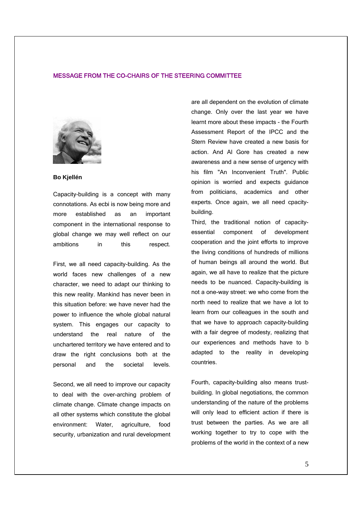### MESSAGE FROM THE CO-CHAIRS OF THE STEERING COMMITTEE



### **Bo Kjellén**

Capacity-building is a concept with many connotations. As ecbi is now being more and more established as an important component in the international response to global change we may well reflect on our ambitions in this respect.

First, we all need capacity-building. As the world faces new challenges of a new character, we need to adapt our thinking to this new reality. Mankind has never been in this situation before: we have never had the power to influence the whole global natural system. This engages our capacity to understand the real nature of the unchartered territory we have entered and to draw the right conclusions both at the personal and the societal levels.

Second, we all need to improve our capacity to deal with the over-arching problem of climate change. Climate change impacts on all other systems which constitute the global environment: Water, agriculture, food security, urbanization and rural development are all dependent on the evolution of climate change. Only over the last year we have learnt more about these impacts - the Fourth Assessment Report of the IPCC and the Stern Review have created a new basis for action. And Al Gore has created a new awareness and a new sense of urgency with his film "An Inconvenient Truth". Public opinion is worried and expects guidance from politicians, academics and other experts. Once again, we all need cpacitybuilding.

Third, the traditional notion of capacityessential component of development cooperation and the joint efforts to improve the living conditions of hundreds of millions of human beings all around the world. But again, we all have to realize that the picture needs to be nuanced. Capacity-building is not a one-way street: we who come from the north need to realize that we have a lot to learn from our colleagues in the south and that we have to approach capacity-building with a fair degree of modesty, realizing that our experiences and methods have to b adapted to the reality in developing countries.

Fourth, capacity-building also means trustbuilding. In global negotiations, the common understanding of the nature of the problems will only lead to efficient action if there is trust between the parties. As we are all working together to try to cope with the problems of the world in the context of a new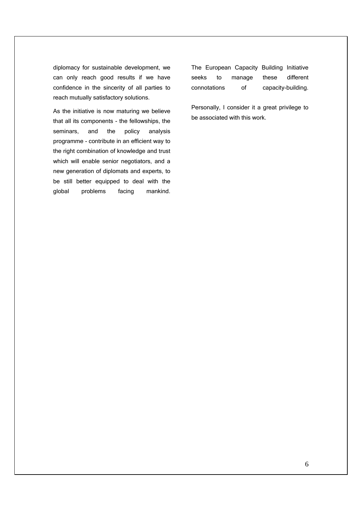diplomacy for sustainable development, we can only reach good results if we have confidence in the sincerity of all parties to reach mutually satisfactory solutions.

As the initiative is now maturing we believe that all its components - the fellowships, the seminars, and the policy analysis programme - contribute in an efficient way to the right combination of knowledge and trust which will enable senior negotiators, and a new generation of diplomats and experts, to be still better equipped to deal with the global problems facing mankind. The European Capacity Building Initiative seeks to manage these different connotations of capacity-building.

Personally, I consider it a great privilege to be associated with this work.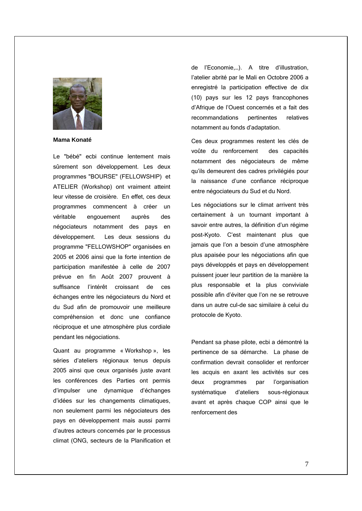

**Mama Konaté**

Le "bébé" ecbi continue lentement mais sûrement son développement. Les deux programmes "BOURSE" (FELLOWSHIP) et ATELIER (Workshop) ont vraiment atteint leur vitesse de croisière. En effet, ces deux programmes commencent à créer un véritable engouement auprès des négociateurs notamment des pays en développement. Les deux sessions du programme "FELLOWSHOP" organisées en 2005 et 2006 ainsi que la forte intention de participation manifestée à celle de 2007 prévue en fin Août 2007 prouvent à suffisance l'intérêt croissant de ces échanges entre les négociateurs du Nord et du Sud afin de promouvoir une meilleure compréhension et donc une confiance réciproque et une atmosphère plus cordiale pendant les négociations.

Quant au programme « Workshop », les séries d'ateliers régionaux tenus depuis 2005 ainsi que ceux organisés juste avant les conférences des Parties ont permis d'impulser une dynamique d'échanges d'idées sur les changements climatiques, non seulement parmi les négociateurs des pays en développement mais aussi parmi d'autres acteurs concernés par le processus climat (ONG, secteurs de la Planification et

de l'Economie,…). A titre d'illustration, l'atelier abrité par le Mali en Octobre 2006 a enregistré la participation effective de dix (10) pays sur les 12 pays francophones d'Afrique de l'Ouest concernés et a fait des recommandations pertinentes relatives notamment au fonds d'adaptation.

Ces deux programmes restent les clés de voûte du renforcement des capacités notamment des négociateurs de même qu'ils demeurent des cadres privilégiés pour la naissance d'une confiance réciproque entre négociateurs du Sud et du Nord.

Les négociations sur le climat arrivent très certainement à un tournant important à savoir entre autres, la définition d'un régime post-Kyoto. C'est maintenant plus que jamais que l'on a besoin d'une atmosphère plus apaisée pour les négociations afin que pays développés et pays en développement puissent jouer leur partition de la manière la plus responsable et la plus conviviale possible afin d'éviter que l'on ne se retrouve dans un autre cul-de sac similaire à celui du protocole de Kyoto.

Pendant sa phase pilote, ecbi a démontré la pertinence de sa démarche. La phase de confirmation devrait consolider et renforcer les acquis en axant les activités sur ces deux programmes par l'organisation systématique d'ateliers sous-régionaux avant et après chaque COP ainsi que le renforcement des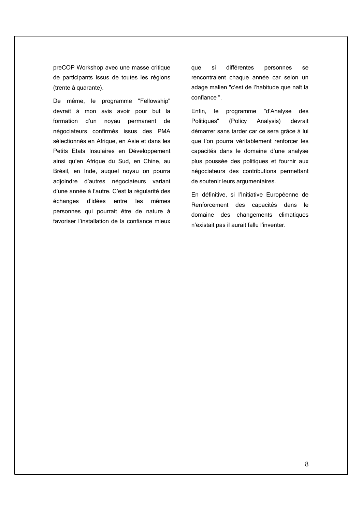preCOP Workshop avec une masse critique de participants issus de toutes les régions (trente à quarante).

De même, le programme "Fellowship" devrait à mon avis avoir pour but la formation d'un noyau permanent de négociateurs confirmés issus des PMA sélectionnés en Afrique, en Asie et dans les Petits Etats Insulaires en Développement ainsi qu'en Afrique du Sud, en Chine, au Brésil, en Inde, auquel noyau on pourra adjoindre d'autres négociateurs variant d'une année à l'autre. C'est la régularité des échanges d'idées entre les mêmes personnes qui pourrait être de nature à favoriser l'installation de la confiance mieux

que si différentes personnes se rencontraient chaque année car selon un adage malien "c'est de l'habitude que naît la confiance ".

Enfin, le programme "d'Analyse des Politiques" (Policy Analysis) devrait démarrer sans tarder car ce sera grâce à lui que l'on pourra véritablement renforcer les capacités dans le domaine d'une analyse plus poussée des politiques et fournir aux négociateurs des contributions permettant de soutenir leurs argumentaires.

En définitive, si l'Initiative Européenne de Renforcement des capacités dans le domaine des changements climatiques n'existait pas il aurait fallu l'inventer.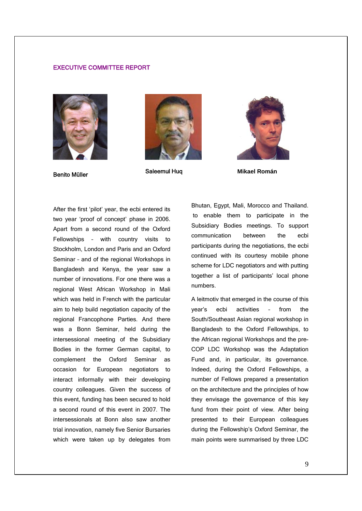# EXECUTIVE COMMITTEE REPORT









After the first 'pilot' year, the ecbi entered its two year 'proof of concept' phase in 2006. Apart from a second round of the Oxford Fellowships – with country visits to Stockholm, London and Paris and an Oxford Seminar – and of the regional Workshops in Bangladesh and Kenya, the year saw a number of innovations. For one there was a regional West African Workshop in Mali which was held in French with the particular aim to help build negotiation capacity of the regional Francophone Parties. And there was a Bonn Seminar, held during the intersessional meeting of the Subsidiary Bodies in the former German capital, to complement the Oxford Seminar as occasion for European negotiators to interact informally with their developing country colleagues. Given the success of this event, funding has been secured to hold a second round of this event in 2007. The intersessionals at Bonn also saw another trial innovation, namely five Senior Bursaries which were taken up by delegates from

Bhutan, Egypt, Mali, Morocco and Thailand. to enable them to participate in the Subsidiary Bodies meetings. To support communication between the ecbi participants during the negotiations, the ecbi continued with its courtesy mobile phone scheme for LDC negotiators and with putting together a list of participants' local phone numbers.

A leitmotiv that emerged in the course of this year's ecbi activities – from the South/Southeast Asian regional workshop in Bangladesh to the Oxford Fellowships, to the African regional Workshops and the pre-COP LDC Workshop was the Adaptation Fund and, in particular, its governance. Indeed, during the Oxford Fellowships, a number of Fellows prepared a presentation on the architecture and the principles of how they envisage the governance of this key fund from their point of view. After being presented to their European colleagues during the Fellowship's Oxford Seminar, the main points were summarised by three LDC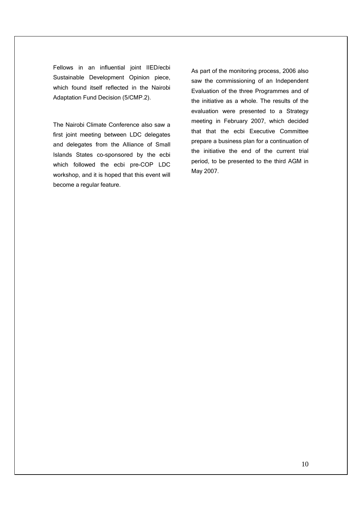Fellows in an influential joint IIED/ecbi Sustainable Development Opinion piece, which found itself reflected in the Nairobi Adaptation Fund Decision (5/CMP.2).

The Nairobi Climate Conference also saw a first joint meeting between LDC delegates and delegates from the Alliance of Small Islands States co-sponsored by the ecbi which followed the ecbi pre-COP LDC workshop, and it is hoped that this event will become a regular feature.

As part of the monitoring process, 2006 also saw the commissioning of an Independent Evaluation of the three Programmes and of the initiative as a whole. The results of the evaluation were presented to a Strategy meeting in February 2007, which decided that that the ecbi Executive Committee prepare a business plan for a continuation of the initiative the end of the current trial period, to be presented to the third AGM in May 2007.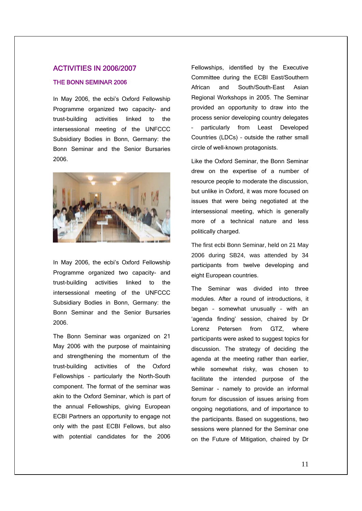# ACTIVITIES IN 2006/2007

# THE BONN SEMINAR 2006

In May 2006, the ecbi's Oxford Fellowship Programme organized two capacity- and trust-building activities linked to the intersessional meeting of the UNFCCC Subsidiary Bodies in Bonn, Germany: the Bonn Seminar and the Senior Bursaries 2006.



In May 2006, the ecbi's Oxford Fellowship Programme organized two capacity- and trust-building activities linked to the intersessional meeting of the UNFCCC Subsidiary Bodies in Bonn, Germany: the Bonn Seminar and the Senior Bursaries 2006.

The Bonn Seminar was organized on 21 May 2006 with the purpose of maintaining and strengthening the momentum of the trust-building activities of the Oxford Fellowships – particularly the North-South component. The format of the seminar was akin to the Oxford Seminar, which is part of the annual Fellowships, giving European ECBI Partners an opportunity to engage not only with the past ECBI Fellows, but also with potential candidates for the 2006 Fellowships, identified by the Executive Committee during the ECBI East/Southern African and South/South-East Asian Regional Workshops in 2005. The Seminar provided an opportunity to draw into the process senior developing country delegates – particularly from Least Developed Countries (LDCs) – outside the rather small circle of well-known protagonists.

Like the Oxford Seminar, the Bonn Seminar drew on the expertise of a number of resource people to moderate the discussion, but unlike in Oxford, it was more focused on issues that were being negotiated at the intersessional meeting, which is generally more of a technical nature and less politically charged.

The first ecbi Bonn Seminar, held on 21 May 2006 during SB24, was attended by 34 participants from twelve developing and eight European countries.

The Seminar was divided into three modules. After a round of introductions, it began – somewhat unusually – with an 'agenda finding' session, chaired by Dr Lorenz Petersen from GTZ, where participants were asked to suggest topics for discussion. The strategy of deciding the agenda at the meeting rather than earlier, while somewhat risky, was chosen to facilitate the intended purpose of the Seminar - namely to provide an informal forum for discussion of issues arising from ongoing negotiations, and of importance to the participants. Based on suggestions, two sessions were planned for the Seminar one on the Future of Mitigation, chaired by Dr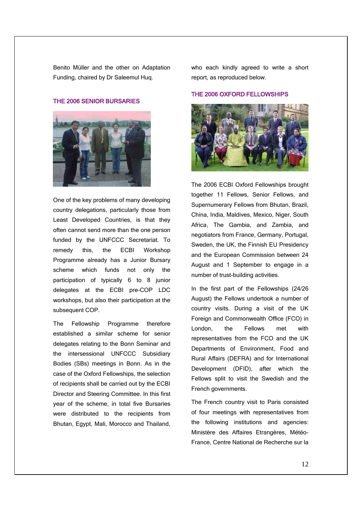Benito Müller and the other on Adaptation Funding, chaired by Dr Saleemul Huq.

# THE 2006 SENIOR BURSARIES



One of the key problems of many developing country delegations, particularly those from Least Developed Countries, is that they often cannot send more than the one person funded by the UNFCCC Secretariat. To remedy this, the ECBI Workshop Programme already has a Junior Bursary scheme which funds not only the participation of typically 6 to 8 junior delegates at the ECBI pre-COP LDC workshops, but also their participation at the subsequent COP.

The Fellowship Programme therefore established a similar scheme for senior delegates relating to the Bonn Seminar and the intersessional UNFCCC Subsidiary Bodies (SBs) meetings in Bonn. As in the case of the Oxford Fellowships, the selection of recipients shall be carried out by the ECBI Director and Steering Committee. In this first year of the scheme, in total five Bursaries were distributed to the recipients from Bhutan, Egypt, Mali, Morocco and Thailand,

who each kindly agreed to write a short report, as reproduced below.

### THE 2006 OXFORD FELLOWSHIPS



The 2006 ECBI Oxford Fellowships brought together 11 Fellows, Senior Fellows, and Supernumerary Fellows from Bhutan, Brazil, China, India, Maldives, Mexico, Niger, South Africa, The Gambia, and Zambia, and negotiators from France, Germany, Portugal, Sweden, the UK, the Finnish EU Presidency and the European Commission between 24 August and 1 September to engage in a number of trust-building activities.

In the first part of the Fellowships (24/26 August) the Fellows undertook a number of country visits. During a visit of the UK Foreign and Commonwealth Office (FCO) in London, the Fellows met with representatives from the FCO and the UK Departments of Environment, Food and Rural Affairs (DEFRA) and for International Development (DFID), after which the Fellows split to visit the Swedish and the French governments.

The French country visit to Paris consisted of four meetings with representatives from the following institutions and agencies: Ministère des Affaires Etrangères, Météo-France, Centre National de Recherche sur la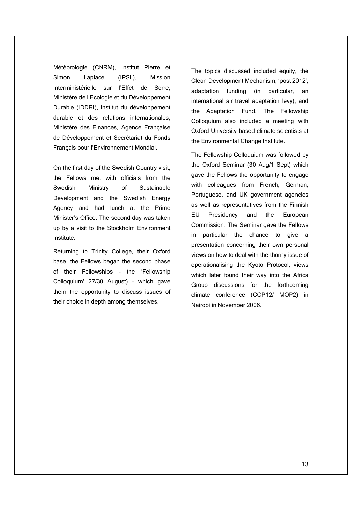Météorologie (CNRM), Institut Pierre et Simon Laplace (IPSL), Mission Interministérielle sur l'Effet de Serre, Ministère de l'Ecologie et du Développement Durable (IDDRI), Institut du développement durable et des relations internationales, Ministère des Finances, Agence Française de Développement et Secrétariat du Fonds Français pour l'Environnement Mondial.

On the first day of the Swedish Country visit, the Fellows met with officials from the Swedish Ministry of Sustainable Development and the Swedish Energy Agency and had lunch at the Prime Minister's Office. The second day was taken up by a visit to the Stockholm Environment Institute.

Returning to Trinity College, their Oxford base, the Fellows began the second phase of their Fellowships – the 'Fellowship Colloquium' 27/30 August) – which gave them the opportunity to discuss issues of their choice in depth among themselves.

The topics discussed included equity, the Clean Development Mechanism, 'post 2012', adaptation funding (in particular, an international air travel adaptation levy), and the Adaptation Fund. The Fellowship Colloquium also included a meeting with Oxford University based climate scientists at the Environmental Change Institute.

The Fellowship Colloquium was followed by the Oxford Seminar (30 Aug/1 Sept) which gave the Fellows the opportunity to engage with colleagues from French, German, Portuguese, and UK government agencies as well as representatives from the Finnish EU Presidency and the European Commission. The Seminar gave the Fellows in particular the chance to give a presentation concerning their own personal views on how to deal with the thorny issue of operationalising the Kyoto Protocol, views which later found their way into the Africa Group discussions for the forthcoming climate conference (COP12/ MOP2) in Nairobi in November 2006.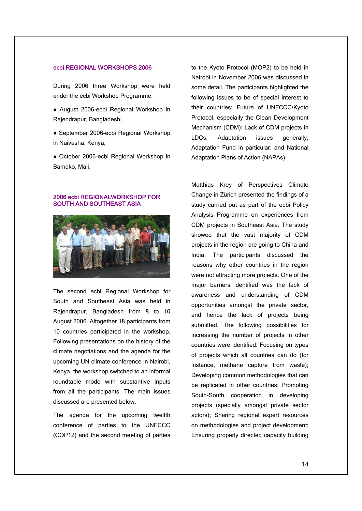# ecbi REGIONAL WORKSHOPS 2006

During 2006 three Workshop were held under the ecbi Workshop Programme.

- August 2006-ecbi Regional Workshop in Rajendrapur, Bangladesh;
- September 2006-ecbi Regional Workshop in Naivasha, Kenya;
- October 2006-ecbi Regional Workshop in Bamako, Mali,

# 2006 ecbi REGIONALWORKSHOP FOR SOUTH AND SOUTHEAST ASIA



The second ecbi Regional Workshop for South and Southeast Asia was held in Rajendrapur, Bangladesh from 8 to 10 August 2006. Altogether 18 participants from 10 countries participated in the workshop. Following presentations on the history of the climate negotiations and the agenda for the upcoming UN climate conference in Nairobi, Kenya, the workshop switched to an informal roundtable mode with substantive inputs from all the participants. The main issues discussed are presented below.

The agenda for the upcoming twelfth conference of parties to the UNFCCC (COP12) and the second meeting of parties to the Kyoto Protocol (MOP2) to be held in Nairobi in November 2006 was discussed in some detail. The participants highlighted the following issues to be of special interest to their countries: Future of UNFCCC/Kyoto Protocol, especially the Clean Development Mechanism (CDM): Lack of CDM projects in LDCs; Adaptation issues generally; Adaptation Fund in particular; and National Adaptation Plans of Action (NAPAs).

Matthias Krey of Perspectives Climate Change in Zürich presented the findings of a study carried out as part of the ecbi Policy Analysis Programme on experiences from CDM projects in Southeast Asia. The study showed that the vast majority of CDM projects in the region are going to China and India. The participants discussed the reasons why other countries in the region were not attracting more projects. One of the major barriers identified was the lack of awareness and understanding of CDM opportunities amongst the private sector, and hence the lack of projects being submitted. The following possibilities for increasing the number of projects in other countries were identified: Focusing on types of projects which all countries can do (for instance, methane capture from waste); Developing common methodologies that can be replicated in other countries; Promoting South-South cooperation in developing projects (specially amongst private sector actors); Sharing regional expert resources on methodologies and project development; Ensuring properly directed capacity building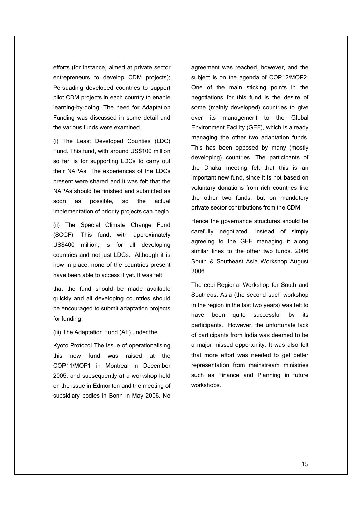efforts (for instance, aimed at private sector entrepreneurs to develop CDM projects); Persuading developed countries to support pilot CDM projects in each country to enable learning-by-doing. The need for Adaptation Funding was discussed in some detail and the various funds were examined.

(i) The Least Developed Counties (LDC) Fund. This fund, with around US\$100 million so far, is for supporting LDCs to carry out their NAPAs. The experiences of the LDCs present were shared and it was felt that the NAPAs should be finished and submitted as soon as possible, so the actual implementation of priority projects can begin.

(ii) The Special Climate Change Fund (SCCF). This fund, with approximately US\$400 million, is for all developing countries and not just LDCs. Although it is now in place, none of the countries present have been able to access it yet. It was felt

that the fund should be made available quickly and all developing countries should be encouraged to submit adaptation projects for funding.

# (iii) The Adaptation Fund (AF) under the

Kyoto Protocol The issue of operationalising this new fund was raised at the COP11/MOP1 in Montreal in December 2005, and subsequently at a workshop held on the issue in Edmonton and the meeting of subsidiary bodies in Bonn in May 2006. No agreement was reached, however, and the subject is on the agenda of COP12/MOP2. One of the main sticking points in the negotiations for this fund is the desire of some (mainly developed) countries to give over its management to the Global Environment Facility (GEF), which is already managing the other two adaptation funds. This has been opposed by many (mostly developing) countries. The participants of the Dhaka meeting felt that this is an important new fund, since it is not based on voluntary donations from rich countries like the other two funds, but on mandatory private sector contributions from the CDM.

Hence the governance structures should be carefully negotiated, instead of simply agreeing to the GEF managing it along similar lines to the other two funds. 2006 South & Southeast Asia Workshop August 2006

The ecbi Regional Workshop for South and Southeast Asia (the second such workshop in the region in the last two years) was felt to have been quite successful by its participants. However, the unfortunate lack of participants from India was deemed to be a major missed opportunity. It was also felt that more effort was needed to get better representation from mainstream ministries such as Finance and Planning in future workshops.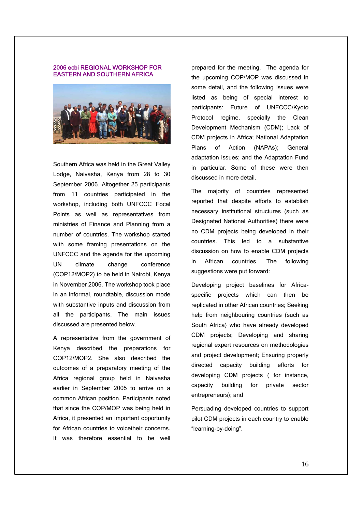### 2006 ecbi REGIONAL WORKSHOP FOR EASTERN AND SOUTHERN AFRICA



Southern Africa was held in the Great Valley Lodge, Naivasha, Kenya from 28 to 30 September 2006. Altogether 25 participants from 11 countries participated in the workshop, including both UNFCCC Focal Points as well as representatives from ministries of Finance and Planning from a number of countries. The workshop started with some framing presentations on the UNFCCC and the agenda for the upcoming UN climate change conference (COP12/MOP2) to be held in Nairobi, Kenya in November 2006. The workshop took place in an informal, roundtable, discussion mode with substantive inputs and discussion from all the participants. The main issues discussed are presented below.

A representative from the government of Kenya described the preparations for COP12/MOP2. She also described the outcomes of a preparatory meeting of the Africa regional group held in Naivasha earlier in September 2005 to arrive on a common African position. Participants noted that since the COP/MOP was being held in Africa, it presented an important opportunity for African countries to voicetheir concerns. It was therefore essential to be well prepared for the meeting. The agenda for the upcoming COP/MOP was discussed in some detail, and the following issues were listed as being of special interest to participants: Future of UNFCCC/Kyoto Protocol regime, specially the Clean Development Mechanism (CDM); Lack of CDM projects in Africa; National Adaptation Plans of Action (NAPAs); General adaptation issues; and the Adaptation Fund in particular. Some of these were then discussed in more detail.

The majority of countries represented reported that despite efforts to establish necessary institutional structures (such as Designated National Authorities) there were no CDM projects being developed in their countries. This led to a substantive discussion on how to enable CDM projects in African countries. The following suggestions were put forward:

Developing project baselines for Africaspecific projects which can then be replicated in other African countries; Seeking help from neighbouring countries (such as South Africa) who have already developed CDM projects; Developing and sharing regional expert resources on methodologies and project development; Ensuring properly directed capacity building efforts for developing CDM projects ( for instance, capacity building for private sector entrepreneurs); and

Persuading developed countries to support pilot CDM projects in each country to enable "learning-by-doing".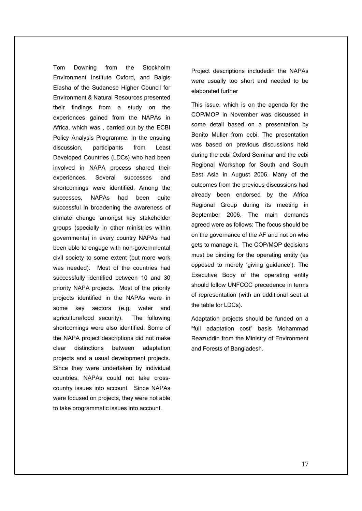Tom Downing from the Stockholm Environment Institute Oxford, and Balgis Elasha of the Sudanese Higher Council for Environment & Natural Resources presented their findings from a study on the experiences gained from the NAPAs in Africa, which was , carried out by the ECBI Policy Analysis Programme. In the ensuing discussion, participants from Least Developed Countries (LDCs) who had been involved in NAPA process shared their experiences. Several successes and shortcomings were identified. Among the successes. NAPAs had been quite successful in broadening the awareness of climate change amongst key stakeholder groups (specially in other ministries within governments) in every country NAPAs had been able to engage with non-governmental civil society to some extent (but more work was needed). Most of the countries had successfully identified between 10 and 30 priority NAPA projects. Most of the priority projects identified in the NAPAs were in some key sectors (e.g. water and agriculture/food security). The following shortcomings were also identified: Some of the NAPA project descriptions did not make clear distinctions between adaptation projects and a usual development projects. Since they were undertaken by individual countries, NAPAs could not take crosscountry issues into account. Since NAPAs were focused on projects, they were not able to take programmatic issues into account.

Project descriptions includedin the NAPAs were usually too short and needed to be elaborated further

This issue, which is on the agenda for the COP/MOP in November was discussed in some detail based on a presentation by Benito Muller from ecbi. The presentation was based on previous discussions held during the ecbi Oxford Seminar and the ecbi Regional Workshop for South and South East Asia in August 2006. Many of the outcomes from the previous discussions had already been endorsed by the Africa Regional Group during its meeting in September 2006. The main demands agreed were as follows: The focus should be on the governance of the AF and not on who gets to manage it. The COP/MOP decisions must be binding for the operating entity (as opposed to merely 'giving guidance'). The Executive Body of the operating entity should follow UNFCCC precedence in terms of representation (with an additional seat at the table for LDCs).

Adaptation projects should be funded on a "full adaptation cost" basis Mohammad Reazuddin from the Ministry of Environment and Forests of Bangladesh.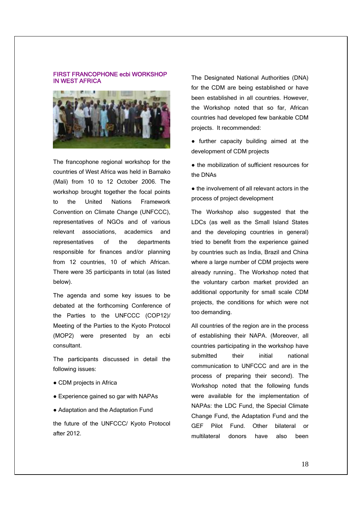# FIRST FRANCOPHONE ecbi WORKSHOP IN WEST AFRICA



The francophone regional workshop for the countries of West Africa was held in Bamako (Mali) from 10 to 12 October 2006. The workshop brought together the focal points to the United Nations Framework Convention on Climate Change (UNFCCC), representatives of NGOs and of various relevant associations, academics and representatives of the departments responsible for finances and/or planning from 12 countries, 10 of which African. There were 35 participants in total (as listed below).

The agenda and some key issues to be debated at the forthcoming Conference of the Parties to the UNFCCC (COP12)/ Meeting of the Parties to the Kyoto Protocol (MOP2) were presented by an ecbi consultant.

The participants discussed in detail the following issues:

- CDM projects in Africa
- Experience gained so gar with NAPAs
- Adaptation and the Adaptation Fund

the future of the UNFCCC/ Kyoto Protocol after 2012.

The Designated National Authorities (DNA) for the CDM are being established or have been established in all countries. However, the Workshop noted that so far, African countries had developed few bankable CDM projects. It recommended:

- further capacity building aimed at the development of CDM projects
- the mobilization of sufficient resources for the DNAs
- the involvement of all relevant actors in the process of project development

The Workshop also suggested that the LDCs (as well as the Small Island States and the developing countries in general) tried to benefit from the experience gained by countries such as India, Brazil and China where a large number of CDM projects were already running.. The Workshop noted that the voluntary carbon market provided an additional opportunity for small scale CDM projects, the conditions for which were not too demanding.

All countries of the region are in the process of establishing their NAPA. (Moreover, all countries participating in the workshop have submitted their initial national communication to UNFCCC and are in the process of preparing their second). The Workshop noted that the following funds were available for the implementation of NAPAs: the LDC Fund, the Special Climate Change Fund, the Adaptation Fund and the GEF Pilot Fund. Other bilateral or multilateral donors have also been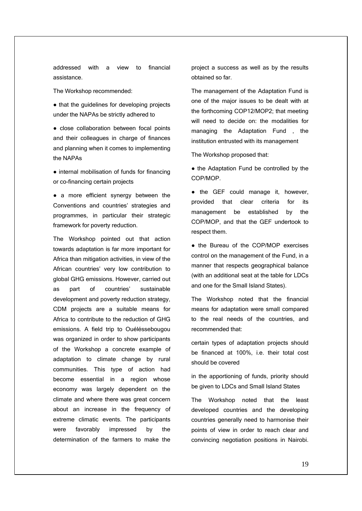addressed with a view to financial assistance.

The Workshop recommended:

● that the guidelines for developing projects under the NAPAs be strictly adhered to

● close collaboration between focal points and their colleagues in charge of finances and planning when it comes to implementing the NAPAs

• internal mobilisation of funds for financing or co-financing certain projects

● a more efficient synergy between the Conventions and countries' strategies and programmes, in particular their strategic framework for poverty reduction.

The Workshop pointed out that action towards adaptation is far more important for Africa than mitigation activities, in view of the African countries' very low contribution to global GHG emissions. However, carried out as part of countries' sustainable development and poverty reduction strategy, CDM projects are a suitable means for Africa to contribute to the reduction of GHG emissions. A field trip to Ouéléssebougou was organized in order to show participants of the Workshop a concrete example of adaptation to climate change by rural communities. This type of action had become essential in a region whose economy was largely dependent on the climate and where there was great concern about an increase in the frequency of extreme climatic events. The participants were favorably impressed by the determination of the farmers to make the project a success as well as by the results obtained so far.

The management of the Adaptation Fund is one of the major issues to be dealt with at the forthcoming COP12/MOP2; that meeting will need to decide on: the modalities for managing the Adaptation Fund , the institution entrusted with its management

The Workshop proposed that:

● the Adaptation Fund be controlled by the COP/MOP.

● the GEF could manage it, however, provided that clear criteria for its management be established by the COP/MOP, and that the GEF undertook to respect them.

● the Bureau of the COP/MOP exercises control on the management of the Fund, in a manner that respects geographical balance (with an additional seat at the table for LDCs and one for the Small Island States).

The Workshop noted that the financial means for adaptation were small compared to the real needs of the countries, and recommended that:

certain types of adaptation projects should be financed at 100%, i.e. their total cost should be covered

in the apportioning of funds, priority should be given to LDCs and Small Island States

The Workshop noted that the least developed countries and the developing countries generally need to harmonise their points of view in order to reach clear and convincing negotiation positions in Nairobi.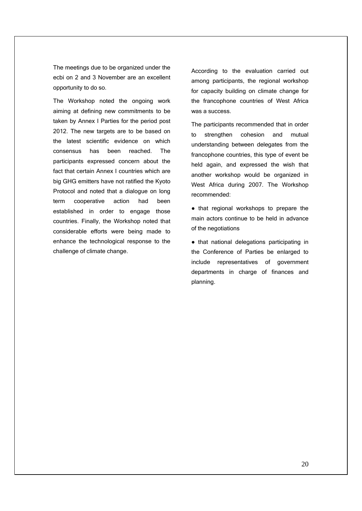The meetings due to be organized under the ecbi on 2 and 3 November are an excellent opportunity to do so.

The Workshop noted the ongoing work aiming at defining new commitments to be taken by Annex I Parties for the period post 2012. The new targets are to be based on the latest scientific evidence on which consensus has been reached. The participants expressed concern about the fact that certain Annex I countries which are big GHG emitters have not ratified the Kyoto Protocol and noted that a dialogue on long term cooperative action had been established in order to engage those countries. Finally, the Workshop noted that considerable efforts were being made to enhance the technological response to the challenge of climate change.

According to the evaluation carried out among participants, the regional workshop for capacity building on climate change for the francophone countries of West Africa was a success.

The participants recommended that in order to strengthen cohesion and mutual understanding between delegates from the francophone countries, this type of event be held again, and expressed the wish that another workshop would be organized in West Africa during 2007. The Workshop recommended:

● that regional workshops to prepare the main actors continue to be held in advance of the negotiations

● that national delegations participating in the Conference of Parties be enlarged to include representatives of government departments in charge of finances and planning.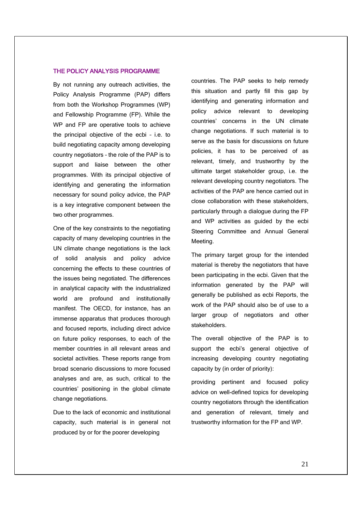# THE POLICY ANALYSIS PROGRAMME

By not running any outreach activities, the Policy Analysis Programme (PAP) differs from both the Workshop Programmes (WP) and Fellowship Programme (FP). While the WP and FP are operative tools to achieve the principal objective of the ecbi – i.e. to build negotiating capacity among developing country negotiators – the role of the PAP is to support and liaise between the other programmes. With its principal objective of identifying and generating the information necessary for sound policy advice, the PAP is a key integrative component between the two other programmes.

One of the key constraints to the negotiating capacity of many developing countries in the UN climate change negotiations is the lack of solid analysis and policy advice concerning the effects to these countries of the issues being negotiated. The differences in analytical capacity with the industrialized world are profound and institutionally manifest. The OECD, for instance, has an immense apparatus that produces thorough and focused reports, including direct advice on future policy responses, to each of the member countries in all relevant areas and societal activities. These reports range from broad scenario discussions to more focused analyses and are, as such, critical to the countries' positioning in the global climate change negotiations.

Due to the lack of economic and institutional capacity, such material is in general not produced by or for the poorer developing

countries. The PAP seeks to help remedy this situation and partly fill this gap by identifying and generating information and policy advice relevant to developing countries' concerns in the UN climate change negotiations. If such material is to serve as the basis for discussions on future policies, it has to be perceived of as relevant, timely, and trustworthy by the ultimate target stakeholder group, i.e. the relevant developing country negotiators. The activities of the PAP are hence carried out in close collaboration with these stakeholders, particularly through a dialogue during the FP and WP activities as guided by the ecbi Steering Committee and Annual General Meeting.

The primary target group for the intended material is thereby the negotiators that have been participating in the ecbi. Given that the information generated by the PAP will generally be published as ecbi Reports, the work of the PAP should also be of use to a larger group of negotiators and other stakeholders.

The overall objective of the PAP is to support the ecbi's general objective of increasing developing country negotiating capacity by (in order of priority):

providing pertinent and focused policy advice on well-defined topics for developing country negotiators through the identification and generation of relevant, timely and trustworthy information for the FP and WP.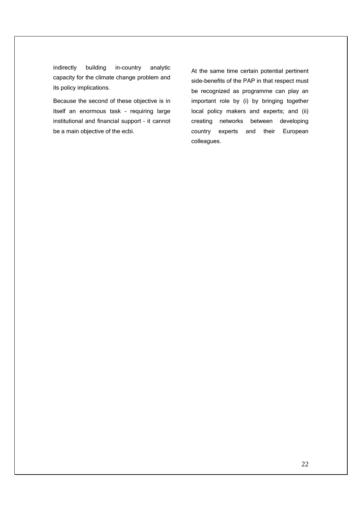indirectly building in-country analytic capacity for the climate change problem and its policy implications.

Because the second of these objective is in itself an enormous task – requiring large institutional and financial support – it cannot be a main objective of the ecbi.

At the same time certain potential pertinent side-benefits of the PAP in that respect must be recognized as programme can play an important role by (i) by bringing together local policy makers and experts; and (ii) creating networks between developing country experts and their European colleagues.